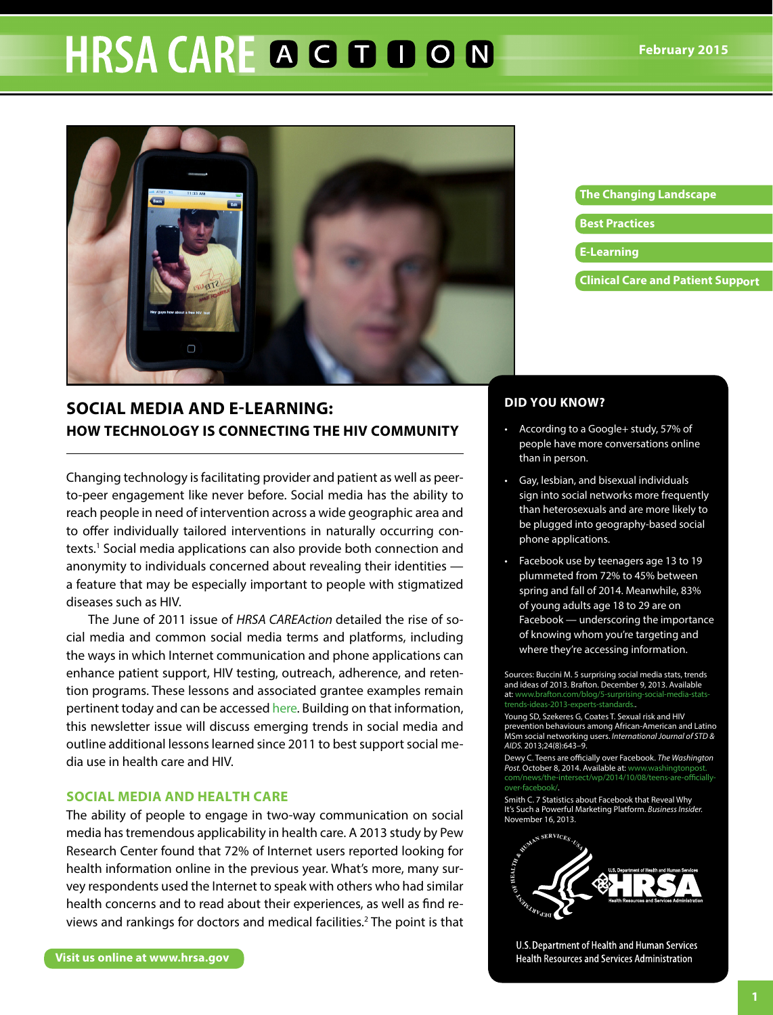# **HRSA CARE A G D D O N**



# **Social Media and e-learning: HOW TECHNOLOGY IS CONNECTING THE HIV COMMUNITY**

Changing technology is facilitating provider and patient as well as peerto-peer engagement like never before. Social media has the ability to reach people in need of intervention across a wide geographic area and to offer individually tailored interventions in naturally occurring contexts.<sup>1</sup> Social media applications can also provide both connection and anonymity to individuals concerned about revealing their identities a feature that may be especially important to people with stigmatized diseases such as HIV.

The June of 2011 issue of *HRSA CAREAction* detailed the rise of social media and common social media terms and platforms, including the ways in which Internet communication and phone applications can enhance patient support, HIV testing, outreach, adherence, and retention programs. These lessons and associated grantee examples remain this newsletter issue will discuss emerging trends in social media and outline additional lessons learned since 2011 to best support social media use in health care and HIV. pertinent today and can be accessed [here](http://www.hab.hrsa.gov/newspublications/careactionnewsletter/june2011.pdf). Building on that information,

### **SOCIAL MEDIA AND HEALTH CARE**

The ability of people to engage in two-way communication on social media has tremendous applicability in health care. A 2013 study by Pew Research Center found that 72% of Internet users reported looking for health information online in the previous year. What's more, many survey respondents used the Internet to speak with others who had similar health concerns and to read about their experiences, as well as find reviews and rankings for doctors and medical facilities.2 The point is that

# The Changing Landscape **Best Practices**

- **E-Learning**
- **Clinical Care and Patient Support**

## **DID YOU KNOW?**

- According to a Google+ study, 57% of people have more conversations online than in person.
- Gay, lesbian, and bisexual individuals sign into social networks more frequently than heterosexuals and are more likely to be plugged into geography-based social phone applications.
- Facebook use by teenagers age 13 to 19 plummeted from 72% to 45% between spring and fall of 2014. Meanwhile, 83% of young adults age 18 to 29 are on  $Facebook$  — underscoring the importance of knowing whom you're targeting and where they're accessing information.

Sources: Buccini M. 5 surprising social media stats, trends and ideas of 2013. Brafton. December 9, 2013. Available at: [www.brafton.com/blog/5-surprising-social-media-stats](www.brafton.com/blog/5-surprising-social-media-stats-trends-ideas-2013-experts-standards.)trends-ideas-2013-experts-standards..

Young SD, Szekeres G, Coates T. Sexual risk and HIV prevention behaviours among African-American and Latino MSm social networking users. *International Journal of STD & AIDS.* 2013;24(8):643–9.

Dewy C. Teens are officially over Facebook. *The Washington*  Post. October 8, 2014. Available at: www.washingtonpos com/news/the-intersect/wp/2014/10/08/teens-are-officiallyover-facebook/.

Smith C. 7 Statistics about Facebook that Reveal Why It's Such a Powerful Marketing Platform. *Business Insider.*  November 16, 2013.



U.S. Department of Health and Human Services **Health Resources and Services Administration**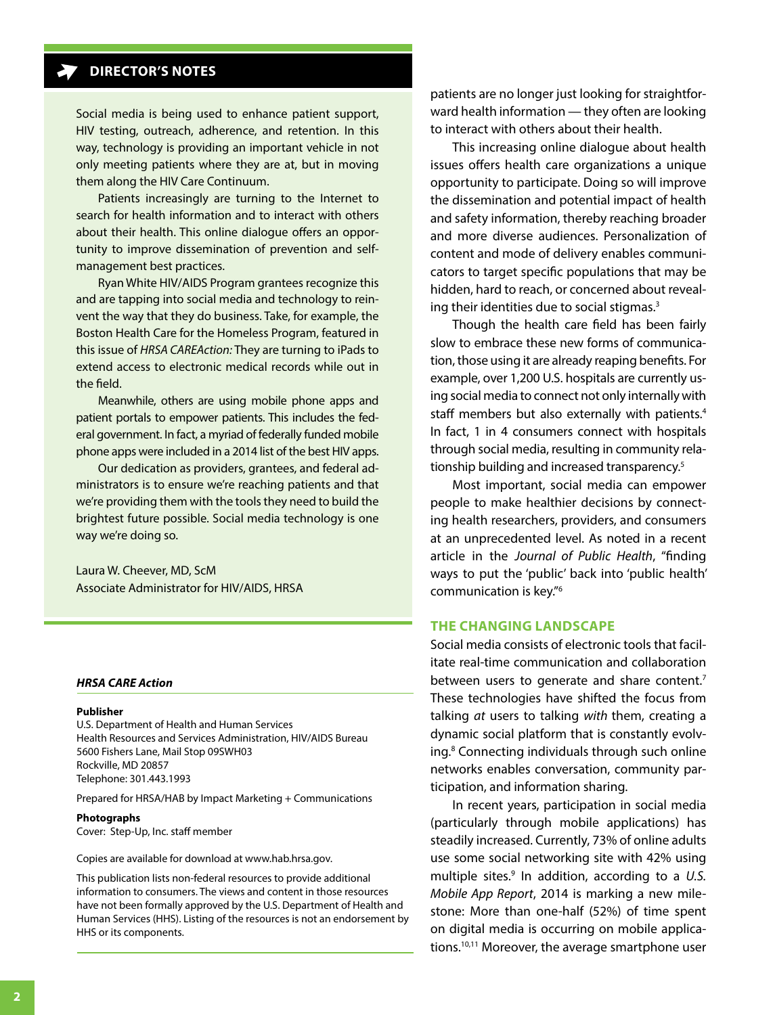# **DIRECTOR'S NOTES**

Social media is being used to enhance patient support, HIV testing, outreach, adherence, and retention. In this way, technology is providing an important vehicle in not only meeting patients where they are at, but in moving them along the HIV Care Continuum.

 Patients increasingly are turning to the Internet to search for health information and to interact with others about their health. This online dialogue offers an opportunity to improve dissemination of prevention and selfmanagement best practices.

 Ryan White HIV/AIDS Program grantees recognize this and are tapping into social media and technology to reinvent the way that they do business. Take, for example, the Boston Health Care for the Homeless Program, featured in this issue of *HRSA CAREAction:* They are turning to iPads to extend access to electronic medical records while out in the field.

 Meanwhile, others are using mobile phone apps and patient portals to empower patients. This includes the federal government. In fact, a myriad of federally funded mobile phone apps were included in a 2014 list of the best HIV apps.

 Our dedication as providers, grantees, and federal administrators is to ensure we're reaching patients and that we're providing them with the tools they need to build the brightest future possible. Social media technology is one way we're doing so.

Laura W. Cheever, MD, ScM Associate Administrator for HIV/AIDS, HRSA

#### *HRSA CARE Action*

#### **Publisher**

U.S. Department of Health and Human Services Health Resources and Services Administration, HIV/AIDS Bureau 5600 Fishers Lane, Mail Stop 09SWH03 Rockville, MD 20857 Telephone: 301.443.1993

Prepared for HRSA/HAB by Impact Marketing + Communications

#### **Photographs**

Cover: Step-Up, Inc. staff member

Copies are available for download at <www.hab.hrsa.gov>.

This publication lists non-federal resources to provide additional information to consumers. The views and content in those resources have not been formally approved by the U.S. Department of Health and Human Services (HHS). Listing of the resources is not an endorsement by HHS or its components.

patients are no longer just looking for straightforward health information — they often are looking to interact with others about their health.

This increasing online dialogue about health issues offers health care organizations a unique opportunity to participate. Doing so will improve the dissemination and potential impact of health and safety information, thereby reaching broader and more diverse audiences. Personalization of content and mode of delivery enables communicators to target specific populations that may be hidden, hard to reach, or concerned about revealing their identities due to social stigmas.3

Though the health care field has been fairly slow to embrace these new forms of communication, those using it are already reaping benefits. For example, over 1,200 U.S. hospitals are currently using social media to connect not only internally with staff members but also externally with patients.<sup>4</sup> In fact, 1 in 4 consumers connect with hospitals through social media, resulting in community relationship building and increased transparency.5

Most important, social media can empower people to make healthier decisions by connecting health researchers, providers, and consumers at an unprecedented level. As noted in a recent article in the *Journal of Public Health*, "finding ways to put the 'public' back into 'public health' communication is key."6

#### **THE CHANGING LANDSCAPE**

Social media consists of electronic tools that facilitate real-time communication and collaboration between users to generate and share content.<sup>7</sup> These technologies have shifted the focus from talking *at* users to talking *with* them, creating a dynamic social platform that is constantly evolving. <sup>8</sup> Connecting individuals through such online networks enables conversation, community participation, and information sharing.

In recent years, participation in social media (particularly through mobile applications) has steadily increased. Currently, 73% of online adults use some social networking site with 42% using multiple sites.<sup>9</sup> In addition, according to a U.S. *Mobile App Report*, 2014 is marking a new milestone: More than one-half (52%) of time spent on digital media is occurring on mobile applications.10,11 Moreover, the average smartphone user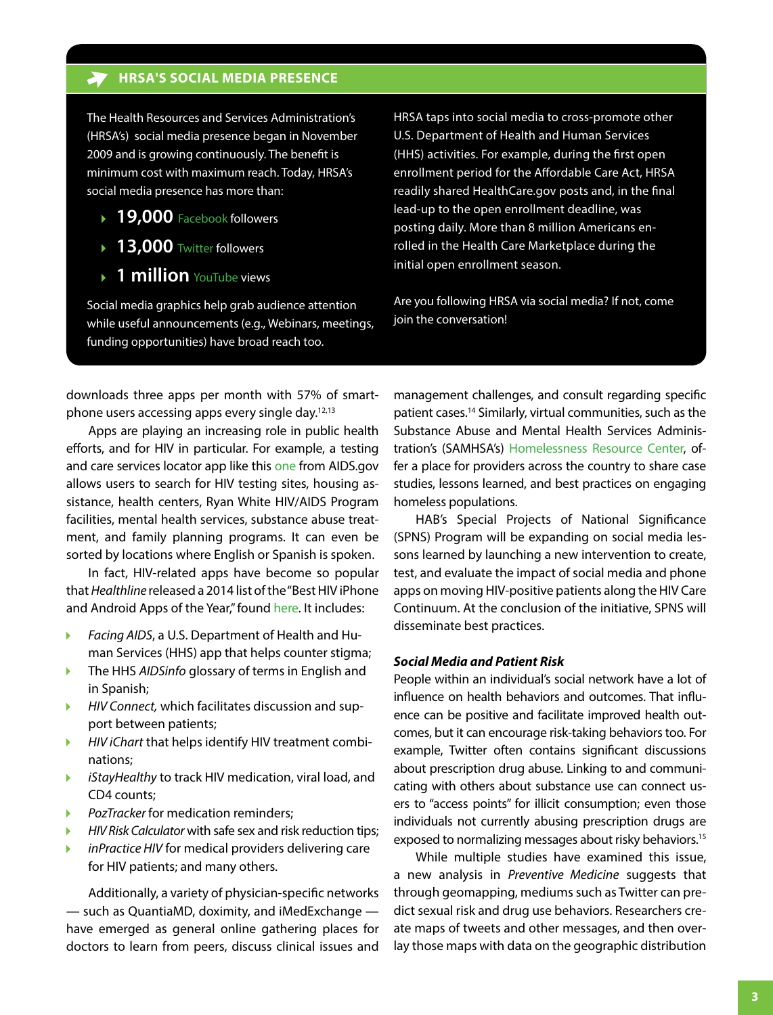#### **HRSA'S SOCIAL MEDIA PRESENCE**

The Health Resources and Services Administration's (HRSA's) social media presence began in November 2009 and is growing continuously. The benefit is minimum cost with maximum reach. Today, HRSA's social media presence has more than:

- **19,000** [Facebook](http://www.facebook.com/HHS.HRSA) followers
- **13,000** [Twitter](https://twitter.com/HRSAgov) followers
- **1 million** [YouTube](http://www.youtube.com/HRSAtube) views

Social media graphics help grab audience attention while useful announcements (e.g., Webinars, meetings, funding opportunities) have broad reach too.

HRSA taps into social media to cross-promote other U.S. Department of Health and Human Services (HHS) activities. For example, during the first open enrollment period for the Affordable Care Act, HRSA readily shared <HealthCare.gov>posts and, in the final lead-up to the open enrollment deadline, was posting daily. More than 8 million Americans enrolled in the Health Care Marketplace during the initial open enrollment season.

Are you following HRSA via social media? If not, come join the conversation!

downloads three apps per month with 57% of smartphone users accessing apps every single day.<sup>12,13</sup>

Apps are playing an increasing role in public health efforts, and for HIV in particular. For example, a testing and care services locator app like this [one](https://blog.aids.gov/2012/10/locater-hiv-testing-and-treatment-services-theres-an-app-for-that.html) from AIDS.gov allows users to search for HIV testing sites, housing assistance, health centers, Ryan White HIV/AIDS Program facilities, mental health services, substance abuse treatment, and family planning programs. It can even be sorted by locations where English or Spanish is spoken.

In fact, HIV-related apps have become so popular that *Healthline* released a 2014 list of the "Best HIV iPhone and Android Apps of the Year," found [here](http://www.healthline.com/health-slideshow/top-hiv-iphone-android-apps). It includes:

- *Facing AIDS*, a U.S. Department of Health and Human Services (HHS) app that helps counter stigma;
- ь The HHS *AIDSinfo* glossary of terms in English and in Spanish;
- *HIV Connect,* which facilitates discussion and supь port between patients;
- *HIV iChart* that helps identify HIV treatment combiь nations;
- *iStayHealthy* to track HIV medication, viral load, and Þ CD4 counts;
- *PozTracker* for medication reminders;
- *HIV Risk Calculator* with safe sex and risk reduction tips;
- *inPractice HIV* for medical providers delivering care for HIV patients; and many others.

Additionally, a variety of physician-specific networks — such as QuantiaMD, doximity, and iMedExchange have emerged as general online gathering places for doctors to learn from peers, discuss clinical issues and

management challenges, and consult regarding specific patient cases.14 Similarly, virtual communities, such as the Substance Abuse and Mental Health Services Administration's (SAMHSA's) Homelessness Resource Center, offer a place for providers across the country to share case studies, lessons learned, and best practices on engaging homeless populations.

HAB's Special Projects of National Significance (SPNS) Program will be expanding on social media lessons learned by launching a new intervention to create, test, and evaluate the impact of social media and phone apps on moving HIV-positive patients along the HIV Care Continuum. At the conclusion of the initiative, SPNS will disseminate best practices.

#### *Social Media and Patient Risk*

People within an individual's social network have a lot of influence on health behaviors and outcomes. That influence can be positive and facilitate improved health outcomes, but it can encourage risk-taking behaviors too. For example, Twitter often contains significant discussions about prescription drug abuse. Linking to and communicating with others about substance use can connect users to "access points" for illicit consumption; even those individuals not currently abusing prescription drugs are exposed to normalizing messages about risky behaviors.<sup>15</sup>

While multiple studies have examined this issue, a new analysis in *Preventive Medicine* suggests that through geomapping, mediums such as Twitter can predict sexual risk and drug use behaviors. Researchers create maps of tweets and other messages, and then overlay those maps with data on the geographic distribution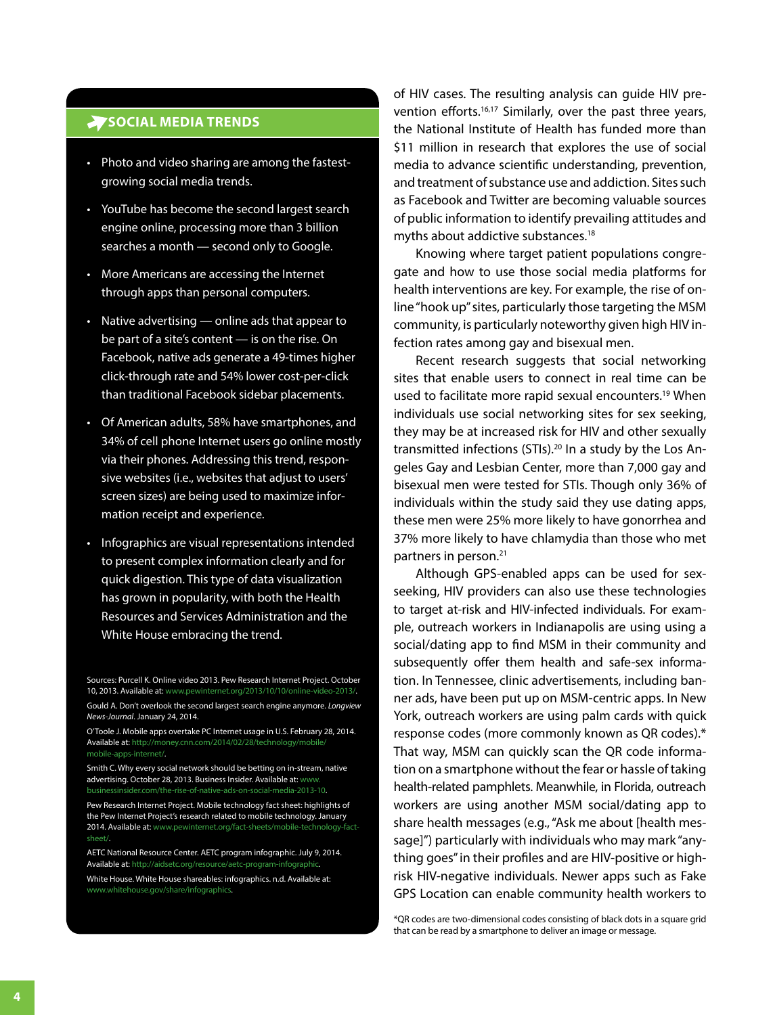### **SOCIAL MEDIA TRENDS**

- Photo and video sharing are among the fastestgrowing social media trends.
- YouTube has become the second largest search engine online, processing more than 3 billion searches a month - second only to Google.
- More Americans are accessing the Internet through apps than personal computers.
- Native advertising  $-$  online ads that appear to be part of a site's content — is on the rise. On Facebook, native ads generate a 49-times higher click-through rate and 54% lower cost-per-click than traditional Facebook sidebar placements.
- Of American adults, 58% have smartphones, and 34% of cell phone Internet users go online mostly via their phones. Addressing this trend, responsive websites (i.e., websites that adjust to users' screen sizes) are being used to maximize information receipt and experience.
- Infographics are visual representations intended to present complex information clearly and for quick digestion. This type of data visualization has grown in popularity, with both the Health Resources and Services Administration and the White House embracing the trend.

Sources: Purcell K. Online video 2013. Pew Research Internet Project. October 10, 2013. Available at: [www.pewinternet.org/2013/10/10/online-video-2013/](http://www.pewinternet.org/2013/10/10/online-video-2013/).

Gould A. Don't overlook the second largest search engine anymore. *Longview News-Journal*. January 24, 2014.

O'Toole J. Mobile apps overtake PC Internet usage in U.S. February 28, 2014. Available at: [http://money.cnn.com/2014/02/28/technology/mobile/](http://money.cnn.com/2014/02/28/technology/mobile/mobile-apps-internet/) mobile-apps-internet/.

Smith C. Why every social network should be betting on in-stream, native advertising. October 28, 2013. Business Insider. Available at: www. [businessinsider.com/the-rise-of-native-ads-on-social-media-2013-10](http://www.businessinsider.com/the-rise-of-native-ads-on-social-media-2013-10).

Pew Research Internet Project. Mobile technology fact sheet: highlights of the Pew Internet Project's research related to mobile technology. January 2014. Available at: [www.pewinternet.org/fact-sheets/mobile-technology-fact](http://www.pewinternet.org/fact-sheets/mobile-technology-fact-sheet/)sheet/.

AETC National Resource Center. AETC program infographic. July 9, 2014. Available at: [http://aidsetc.org/resource/aetc-program-infographic.](http://aidsetc.org/resource/aetc-program-infographic) White House. White House shareables: infographics. n.d. Available at: [www.whitehouse.gov/share/infographics](http://www.whitehouse.gov/share/infographics).

of HIV cases. The resulting analysis can guide HIV prevention efforts.<sup>16,17</sup> Similarly, over the past three years, the National Institute of Health has funded more than \$11 million in research that explores the use of social media to advance scientific understanding, prevention, and treatment of substance use and addiction. Sites such as Facebook and Twitter are becoming valuable sources of public information to identify prevailing attitudes and myths about addictive substances.18

Knowing where target patient populations congregate and how to use those social media platforms for health interventions are key. For example, the rise of online "hook up" sites, particularly those targeting the MSM community, is particularly noteworthy given high HIV infection rates among gay and bisexual men.

Recent research suggests that social networking sites that enable users to connect in real time can be used to facilitate more rapid sexual encounters.<sup>19</sup> When individuals use social networking sites for sex seeking, they may be at increased risk for HIV and other sexually transmitted infections (STIs).20 In a study by the Los Angeles Gay and Lesbian Center, more than 7,000 gay and bisexual men were tested for STIs. Though only 36% of individuals within the study said they use dating apps, these men were 25% more likely to have gonorrhea and 37% more likely to have chlamydia than those who met partners in person.21

Although GPS-enabled apps can be used for sexseeking, HIV providers can also use these technologies to target at-risk and HIV-infected individuals. For example, outreach workers in Indianapolis are using using a social/dating app to find MSM in their community and subsequently offer them health and safe-sex information. In Tennessee, clinic advertisements, including banner ads, have been put up on MSM-centric apps. In New York, outreach workers are using palm cards with quick response codes (more commonly known as QR codes).\* That way, MSM can quickly scan the QR code information on a smartphone without the fear or hassle of taking health-related pamphlets. Meanwhile, in Florida, outreach workers are using another MSM social/dating app to share health messages (e.g., "Ask me about [health message]") particularly with individuals who may mark "anything goes" in their profiles and are HIV-positive or highrisk HIV-negative individuals. Newer apps such as Fake GPS Location can enable community health workers to

\*QR codes are two-dimensional codes consisting of black dots in a square grid that can be read by a smartphone to deliver an image or message.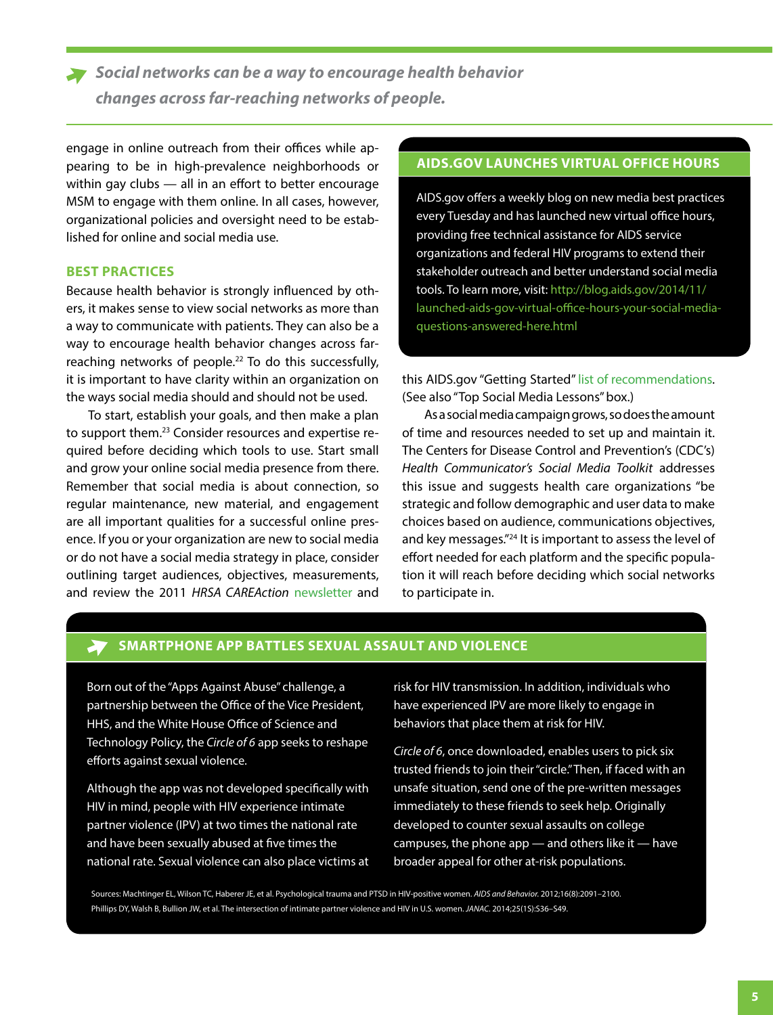*Social networks can be a way to encourage health behavior changes across far-reaching networks of people.*

engage in online outreach from their offices while appearing to be in high-prevalence neighborhoods or within gay clubs — all in an effort to better encourage MSM to engage with them online. In all cases, however, organizational policies and oversight need to be established for online and social media use.

# **BEST PRACTICES**

Because health behavior is strongly influenced by others, it makes sense to view social networks as more than a way to communicate with patients. They can also be a way to encourage health behavior changes across farreaching networks of people.<sup>22</sup> To do this successfully, it is important to have clarity within an organization on the ways social media should and should not be used.

To start, establish your goals, and then make a plan to support them.<sup>23</sup> Consider resources and expertise required before deciding which tools to use. Start small and grow your online social media presence from there. Remember that social media is about connection, so regular maintenance, new material, and engagement are all important qualities for a successful online presence. If you or your organization are new to social media or do not have a social media strategy in place, consider outlining target audiences, objectives, measurements, and review the 2011 *HRSA CAREAction* [newsletter](http://www.hab.hrsa.gov/newspublications/careactionnewsletter/june2011.pdf) and

#### **AIDS.GOV LAUNCHES VIRTUAL OFFICE HOURS**

AIDS.gov offers a weekly blog on new media best practices every Tuesday and has launched new virtual office hours, providing free technical assistance for AIDS service organizations and federal HIV programs to extend their stakeholder outreach and better understand social media tools. To learn more, visit: [http://blog.aids.gov/2014/11/](http://blog.aids.gov/2014/11/launched-aids-gov-virtual-office-hours-your-social-media-questions-answered-here.html) launched-aids-gov-virtual-office-hours-your-social-mediaquestions-answered-here.html

this AIDS.gov "Getting Started" [list of recommendations.](http://www.aids.gov/using-new-media/getting-started/) (See also "Top Social Media Lessons" box.)

As a social media campaign grows, so does the amount of time and resources needed to set up and maintain it. The Centers for Disease Control and Prevention's (CDC's) *Health Communicator's Social Media Toolkit* addresses this issue and suggests health care organizations "be strategic and follow demographic and user data to make choices based on audience, communications objectives, and key messages."<sup>24</sup> It is important to assess the level of effort needed for each platform and the specific population it will reach before deciding which social networks to participate in.

### **SMARTPHONE APP BATTLES SEXUAL ASSAULT AND VIOLENCE**

Born out of the "Apps Against Abuse" challenge, a partnership between the Office of the Vice President, HHS, and the White House Office of Science and Technology Policy, the *Circle of 6* app seeks to reshape efforts against sexual violence.

Although the app was not developed specifically with HIV in mind, people with HIV experience intimate partner violence (IPV) at two times the national rate and have been sexually abused at five times the national rate. Sexual violence can also place victims at

risk for HIV transmission. In addition, individuals who have experienced IPV are more likely to engage in behaviors that place them at risk for HIV.

*Circle of 6*, once downloaded, enables users to pick six trusted friends to join their "circle." Then, if faced with an unsafe situation, send one of the pre-written messages immediately to these friends to seek help. Originally developed to counter sexual assaults on college campuses, the phone app — and others like it — have broader appeal for other at-risk populations.

Sources: Machtinger EL, Wilson TC, Haberer JE, et al. Psychological trauma and PTSD in HIV-positive women. *AIDS and Behavior.* 2012;16(8):2091–2100. Phillips DY, Walsh B, Bullion JW, et al. The intersection of intimate partner violence and HIV in U.S. women. JANAC. 2014;25(1S):S36-S49.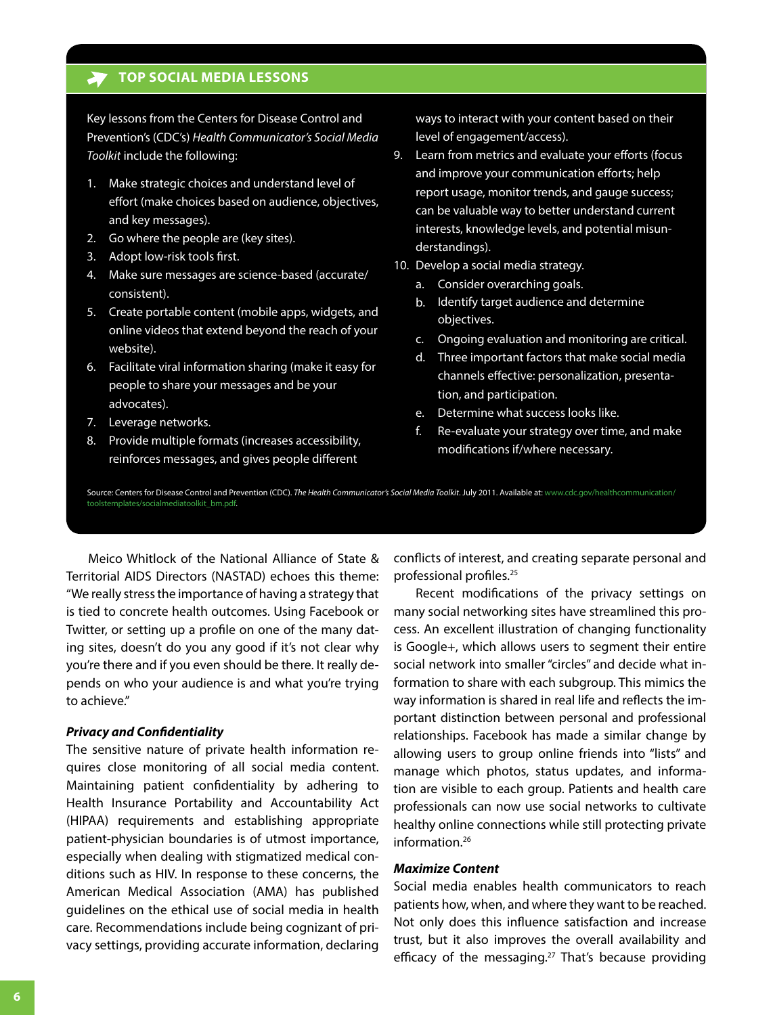#### **TOP SOCIAL MEDIA LESSONS**

Key lessons from the Centers for Disease Control and Prevention's (CDC's) *Health Communicator's Social Media Toolkit* include the following:

- 1. Make strategic choices and understand level of effort (make choices based on audience, objectives, and key messages).
- 2. Go where the people are (key sites).
- 3. Adopt low-risk tools first.
- 4. Make sure messages are science-based (accurate/ consistent).
- 5. Create portable content (mobile apps, widgets, and online videos that extend beyond the reach of your website).
- 6. Facilitate viral information sharing (make it easy for people to share your messages and be your advocates).
- 7. Leverage networks.
- 8. Provide multiple formats (increases accessibility, reinforces messages, and gives people different

ways to interact with your content based on their level of engagement/access).

- 9. Learn from metrics and evaluate your efforts (focus and improve your communication efforts; help report usage, monitor trends, and gauge success; can be valuable way to better understand current interests, knowledge levels, and potential misunderstandings).
- 10. Develop a social media strategy.
	- a. Consider overarching goals.
	- b. Identify target audience and determine objectives.
	- c. Ongoing evaluation and monitoring are critical.
	- d. Three important factors that make social media channels effective: personalization, presentation, and participation.
	- e. Determine what success looks like.
	- f. Re-evaluate your strategy over time, and make modifications if/where necessary.

Source: Centers for Disease Control and Prevention (CDC). The Health Communicator's Social Media Toolkit. July 2011. Available at: [www.cdc.gov/healthcommunication/](http://www.cdc.gov/healthcommunication/toolstemplates/socialmediatoolkit_bm.pdf) toolstemplates/socialmediatoolkit\_bm.pdf.

Meico Whitlock of the National Alliance of State & Territorial AIDS Directors (NASTAD) echoes this theme: "We really stress the importance of having a strategy that is tied to concrete health outcomes. Using Facebook or Twitter, or setting up a profile on one of the many dating sites, doesn't do you any good if it's not clear why you're there and if you even should be there. It really depends on who your audience is and what you're trying to achieve."

#### *Privacy and Confidentiality*

The sensitive nature of private health information requires close monitoring of all social media content. Maintaining patient confidentiality by adhering to Health Insurance Portability and Accountability Act (HIPAA) requirements and establishing appropriate patient-physician boundaries is of utmost importance, especially when dealing with stigmatized medical conditions such as HIV. In response to these concerns, the American Medical Association (AMA) has published guidelines on the ethical use of social media in health care. Recommendations include being cognizant of privacy settings, providing accurate information, declaring

conflicts of interest, and creating separate personal and professional profiles.<sup>25</sup>

Recent modifications of the privacy settings on many social networking sites have streamlined this process. An excellent illustration of changing functionality is Google+, which allows users to segment their entire social network into smaller "circles" and decide what information to share with each subgroup. This mimics the way information is shared in real life and reflects the important distinction between personal and professional relationships. Facebook has made a similar change by allowing users to group online friends into "lists" and manage which photos, status updates, and information are visible to each group. Patients and health care professionals can now use social networks to cultivate healthy online connections while still protecting private information.26

#### *Maximize Content*

Social media enables health communicators to reach patients how, when, and where they want to be reached. Not only does this influence satisfaction and increase trust, but it also improves the overall availability and efficacy of the messaging.<sup>27</sup> That's because providing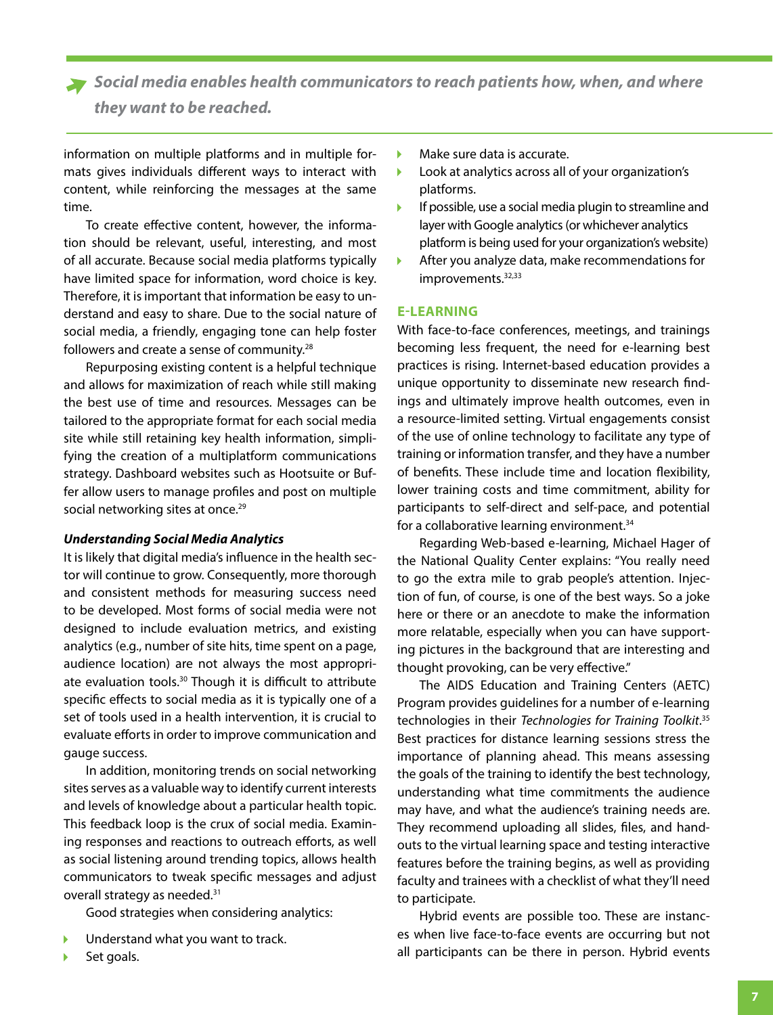*Social media enables health communicators to reach patients how, when, and where they want to be reached.* 

information on multiple platforms and in multiple formats gives individuals different ways to interact with content, while reinforcing the messages at the same time.

To create effective content, however, the information should be relevant, useful, interesting, and most of all accurate. Because social media platforms typically have limited space for information, word choice is key. Therefore, it is important that information be easy to understand and easy to share. Due to the social nature of social media, a friendly, engaging tone can help foster followers and create a sense of community.28

Repurposing existing content is a helpful technique and allows for maximization of reach while still making the best use of time and resources. Messages can be tailored to the appropriate format for each social media site while still retaining key health information, simplifying the creation of a multiplatform communications strategy. Dashboard websites such as Hootsuite or Buffer allow users to manage profiles and post on multiple social networking sites at once.<sup>29</sup>

#### *Understanding Social Media Analytics*

It is likely that digital media's influence in the health sector will continue to grow. Consequently, more thorough and consistent methods for measuring success need to be developed. Most forms of social media were not designed to include evaluation metrics, and existing analytics (e.g., number of site hits, time spent on a page, audience location) are not always the most appropriate evaluation tools.<sup>30</sup> Though it is difficult to attribute specific effects to social media as it is typically one of a set of tools used in a health intervention, it is crucial to evaluate efforts in order to improve communication and gauge success.

In addition, monitoring trends on social networking sites serves as a valuable way to identify current interests and levels of knowledge about a particular health topic. This feedback loop is the crux of social media. Examining responses and reactions to outreach efforts, as well as social listening around trending topics, allows health communicators to tweak specific messages and adjust overall strategy as needed.31

Good strategies when considering analytics:

- Understand what you want to track.
- Set goals.
- Make sure data is accurate. b
- Look at analytics across all of your organization's Þ platforms.
- $\overline{\phantom{a}}$ If possible, use a social media plugin to streamline and layer with Google analytics (or whichever analytics platform is being used for your organization's website)
- After you analyze data, make recommendations for improvements.<sup>32,33</sup>

#### **E-LEARNING**

With face-to-face conferences, meetings, and trainings becoming less frequent, the need for e-learning best practices is rising. Internet-based education provides a unique opportunity to disseminate new research findings and ultimately improve health outcomes, even in a resource-limited setting. Virtual engagements consist of the use of online technology to facilitate any type of training or information transfer, and they have a number of benefits. These include time and location flexibility, lower training costs and time commitment, ability for participants to self-direct and self-pace, and potential for a collaborative learning environment.<sup>34</sup>

Regarding Web-based e-learning, Michael Hager of the National Quality Center explains: "You really need to go the extra mile to grab people's attention. Injection of fun, of course, is one of the best ways. So a joke here or there or an anecdote to make the information more relatable, especially when you can have supporting pictures in the background that are interesting and thought provoking, can be very effective."

The AIDS Education and Training Centers (AETC) Program provides guidelines for a number of e-learning technologies in their *Technologies for Training Toolkit*. 35 Best practices for distance learning sessions stress the importance of planning ahead. This means assessing the goals of the training to identify the best technology, understanding what time commitments the audience may have, and what the audience's training needs are. They recommend uploading all slides, files, and handouts to the virtual learning space and testing interactive features before the training begins, as well as providing faculty and trainees with a checklist of what they'll need to participate.

Hybrid events are possible too. These are instances when live face-to-face events are occurring but not all participants can be there in person. Hybrid events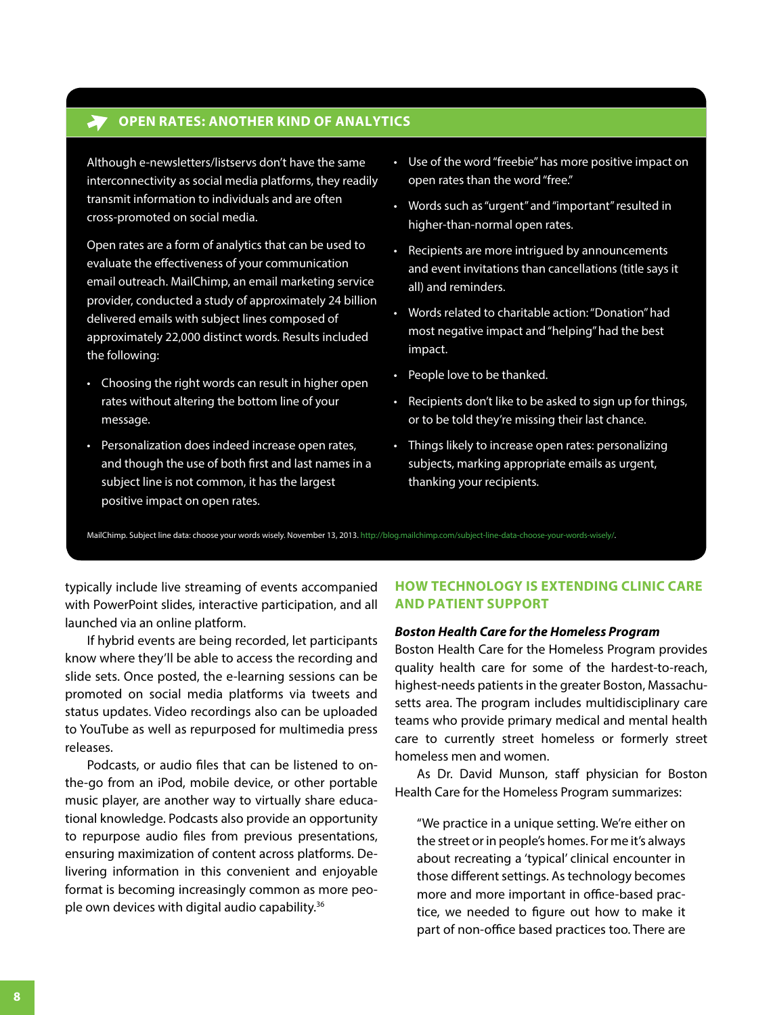# **OPEN RATES: ANOTHER KIND OF ANALYTICS**

Although e-newsletters/listservs don't have the same interconnectivity as social media platforms, they readily transmit information to individuals and are often cross-promoted on social media.

Open rates are a form of analytics that can be used to evaluate the effectiveness of your communication email outreach. MailChimp, an email marketing service provider, conducted a study of approximately 24 billion delivered emails with subject lines composed of approximately 22,000 distinct words. Results included the following:

- Choosing the right words can result in higher open rates without altering the bottom line of your message.
- Personalization does indeed increase open rates, and though the use of both first and last names in a subject line is not common, it has the largest positive impact on open rates.
- Use of the word "freebie" has more positive impact on open rates than the word "free."
- Words such as "urgent" and "important" resulted in higher-than-normal open rates.
- Recipients are more intrigued by announcements and event invitations than cancellations (title says it all) and reminders.
- Words related to charitable action: "Donation" had most negative impact and "helping" had the best impact.
- People love to be thanked.
- Recipients don't like to be asked to sign up for things, or to be told they're missing their last chance.
- Things likely to increase open rates: personalizing subjects, marking appropriate emails as urgent, thanking your recipients.

MailChimp. Subject line data: choose your words wisely. November 13, 2013. [http://blog.mailchimp.com/subject-line-data-choose-your-words-wisely/.](http://blog.mailchimp.com/subject-line-data-choose-your-words-wisely/)

typically include live streaming of events accompanied with PowerPoint slides, interactive participation, and all launched via an online platform.

If hybrid events are being recorded, let participants know where they'll be able to access the recording and slide sets. Once posted, the e-learning sessions can be promoted on social media platforms via tweets and status updates. Video recordings also can be uploaded to YouTube as well as repurposed for multimedia press releases.

Podcasts, or audio files that can be listened to onthe-go from an iPod, mobile device, or other portable music player, are another way to virtually share educational knowledge. Podcasts also provide an opportunity to repurpose audio files from previous presentations, ensuring maximization of content across platforms. Delivering information in this convenient and enjoyable format is becoming increasingly common as more people own devices with digital audio capability.<sup>36</sup>

#### **HOW TECHNOLOGY IS EXTENDING CLINIC CARE AND PATIENT SUPPORT**

#### *Boston Health Care for the Homeless Program*

Boston Health Care for the Homeless Program provides quality health care for some of the hardest-to-reach, highest-needs patients in the greater Boston, Massachusetts area. The program includes multidisciplinary care teams who provide primary medical and mental health care to currently street homeless or formerly street homeless men and women.

As Dr. David Munson, staff physician for Boston Health Care for the Homeless Program summarizes:

"We practice in a unique setting. We're either on the street or in people's homes. For me it's always about recreating a 'typical' clinical encounter in those different settings. As technology becomes more and more important in office-based practice, we needed to figure out how to make it part of non-office based practices too. There are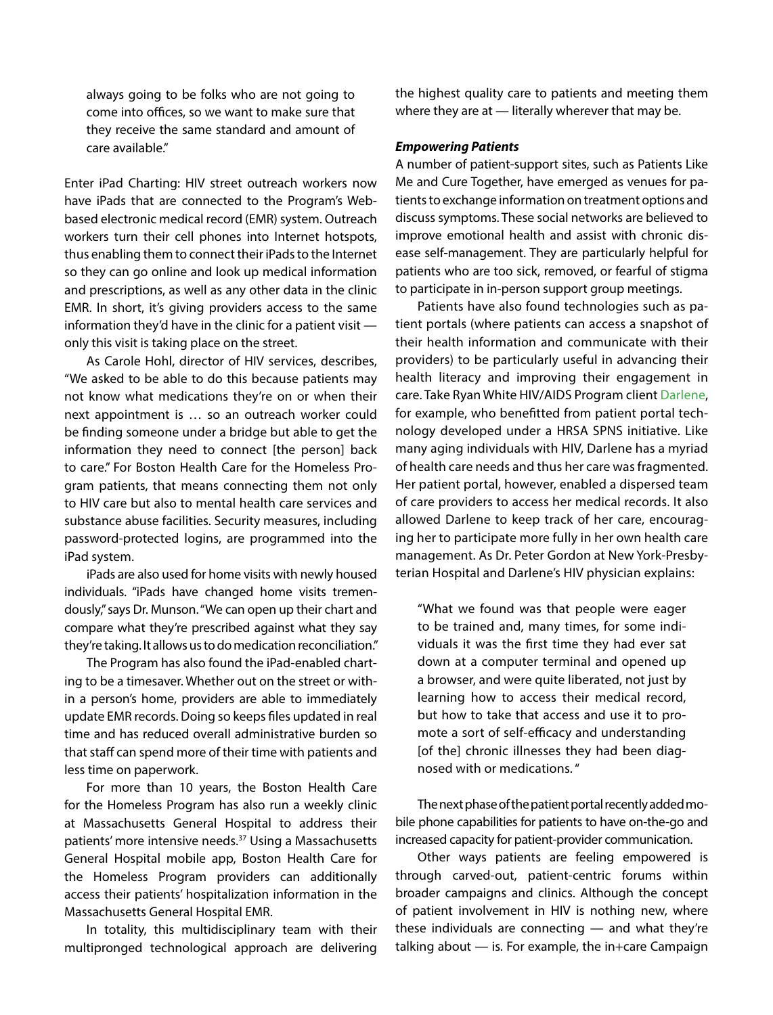always going to be folks who are not going to come into offices, so we want to make sure that they receive the same standard and amount of care available."

Enter iPad Charting: HIV street outreach workers now have iPads that are connected to the Program's Webbased electronic medical record (EMR) system. Outreach workers turn their cell phones into Internet hotspots, thus enabling them to connect their iPads to the Internet so they can go online and look up medical information and prescriptions, as well as any other data in the clinic EMR. In short, it's giving providers access to the same information they'd have in the clinic for a patient visit only this visit is taking place on the street.

As Carole Hohl, director of HIV services, describes, "We asked to be able to do this because patients may not know what medications they're on or when their next appointment is … so an outreach worker could be finding someone under a bridge but able to get the information they need to connect [the person] back to care." For Boston Health Care for the Homeless Program patients, that means connecting them not only to HIV care but also to mental health care services and substance abuse facilities. Security measures, including password-protected logins, are programmed into the iPad system.

iPads are also used for home visits with newly housed individuals. "iPads have changed home visits tremendously," says Dr. Munson. "We can open up their chart and compare what they're prescribed against what they say they're taking. It allows us to do medication reconciliation."

The Program has also found the iPad-enabled charting to be a timesaver. Whether out on the street or within a person's home, providers are able to immediately update EMR records. Doing so keeps files updated in real time and has reduced overall administrative burden so that staff can spend more of their time with patients and less time on paperwork.

For more than 10 years, the Boston Health Care for the Homeless Program has also run a weekly clinic at Massachusetts General Hospital to address their patients' more intensive needs.<sup>37</sup> Using a Massachusetts General Hospital mobile app, Boston Health Care for the Homeless Program providers can additionally access their patients' hospitalization information in the Massachusetts General Hospital EMR.

In totality, this multidisciplinary team with their multipronged technological approach are delivering the highest quality care to patients and meeting them where they are at — literally wherever that may be.

#### *Empowering Patients*

A number of patient-support sites, such as Patients Like Me and Cure Together, have emerged as venues for patients to exchange information on treatment options and discuss symptoms. These social networks are believed to improve emotional health and assist with chronic disease self-management. They are particularly helpful for patients who are too sick, removed, or fearful of stigma to participate in in-person support group meetings.

Patients have also found technologies such as patient portals (where patients can access a snapshot of their health information and communicate with their providers) to be particularly useful in advancing their health literacy and improving their engagement in care. Take Ryan White HIV/AIDS Program client [Darlene](www.hab.hrsa.gov/livinghistory/voices/tucker.htm), for example, who benefitted from patient portal technology developed under a HRSA SPNS initiative. Like many aging individuals with HIV, Darlene has a myriad of health care needs and thus her care was fragmented. Her patient portal, however, enabled a dispersed team of care providers to access her medical records. It also allowed Darlene to keep track of her care, encouraging her to participate more fully in her own health care management. As Dr. Peter Gordon at New York-Presbyterian Hospital and Darlene's HIV physician explains:

"What we found was that people were eager to be trained and, many times, for some individuals it was the first time they had ever sat down at a computer terminal and opened up a browser, and were quite liberated, not just by learning how to access their medical record, but how to take that access and use it to promote a sort of self-efficacy and understanding [of the] chronic illnesses they had been diagnosed with or medications. "

The next phase of the patient portal recently added mobile phone capabilities for patients to have on-the-go and increased capacity for patient-provider communication.

Other ways patients are feeling empowered is through carved-out, patient-centric forums within broader campaigns and clinics. Although the concept of patient involvement in HIV is nothing new, where these individuals are connecting  $-$  and what they're talking about  $-$  is. For example, the in+care Campaign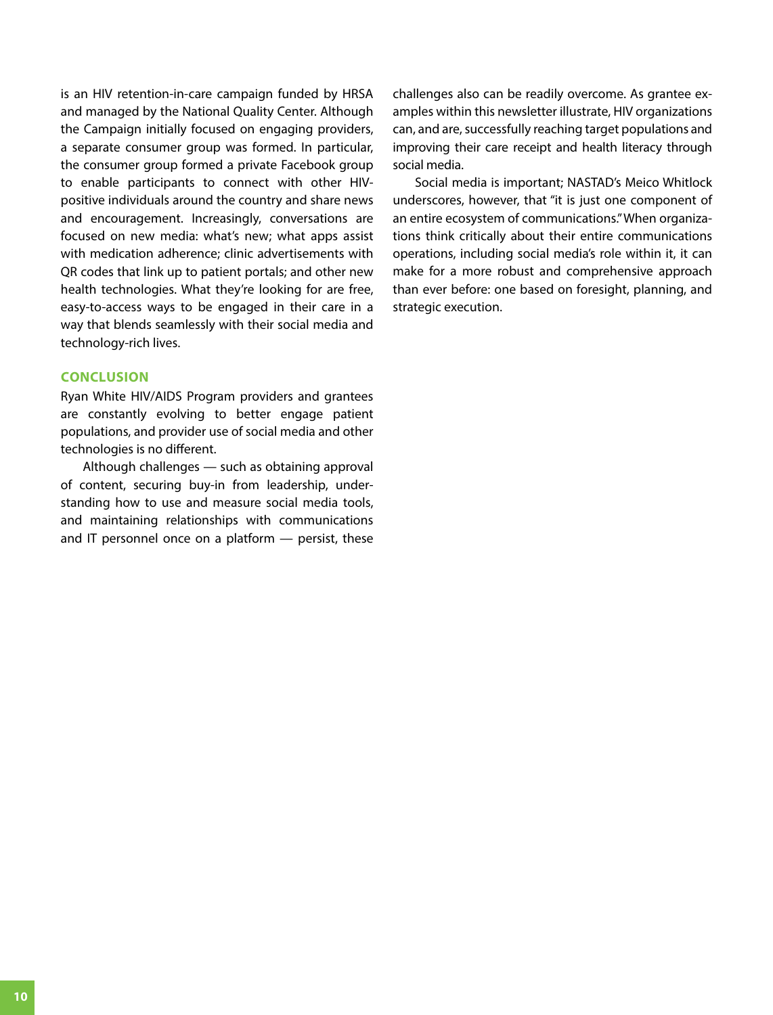is an HIV retention-in-care campaign funded by HRSA and managed by the National Quality Center. Although the Campaign initially focused on engaging providers, a separate consumer group was formed. In particular, the consumer group formed a private Facebook group to enable participants to connect with other HIVpositive individuals around the country and share news and encouragement. Increasingly, conversations are focused on new media: what's new; what apps assist with medication adherence; clinic advertisements with QR codes that link up to patient portals; and other new health technologies. What they're looking for are free, easy-to-access ways to be engaged in their care in a way that blends seamlessly with their social media and technology-rich lives.

#### **CONCLUSION**

Ryan White HIV/AIDS Program providers and grantees are constantly evolving to better engage patient populations, and provider use of social media and other technologies is no different.

Although challenges — such as obtaining approval of content, securing buy-in from leadership, understanding how to use and measure social media tools, and maintaining relationships with communications and IT personnel once on a platform — persist, these challenges also can be readily overcome. As grantee examples within this newsletter illustrate, HIV organizations can, and are, successfully reaching target populations and improving their care receipt and health literacy through social media.

Social media is important; NASTAD's Meico Whitlock underscores, however, that "it is just one component of an entire ecosystem of communications." When organizations think critically about their entire communications operations, including social media's role within it, it can make for a more robust and comprehensive approach than ever before: one based on foresight, planning, and strategic execution.